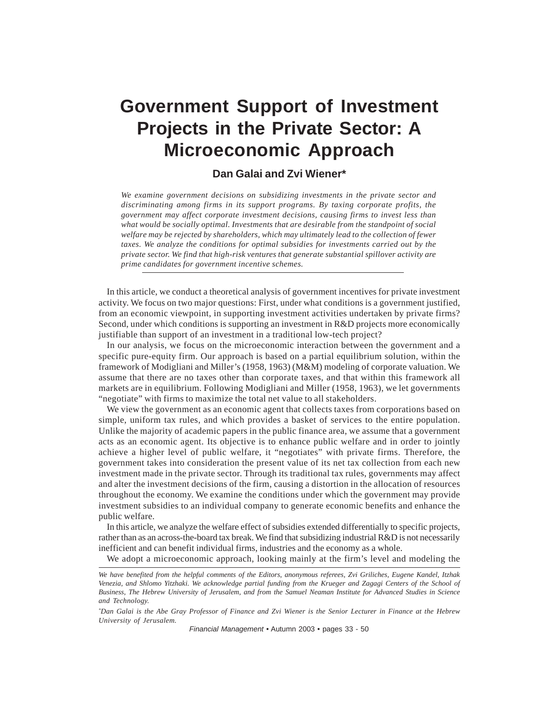# **Government Support of Investment Projects in the Private Sector: A Microeconomic Approach**

# **Dan Galai and Zvi Wiener\***

*We examine government decisions on subsidizing investments in the private sector and discriminating among firms in its support programs. By taxing corporate profits, the government may affect corporate investment decisions, causing firms to invest less than what would be socially optimal. Investments that are desirable from the standpoint of social welfare may be rejected by shareholders, which may ultimately lead to the collection of fewer taxes. We analyze the conditions for optimal subsidies for investments carried out by the private sector. We find that high-risk ventures that generate substantial spillover activity are prime candidates for government incentive schemes.*

In this article, we conduct a theoretical analysis of government incentives for private investment activity. We focus on two major questions: First, under what conditions is a government justified, from an economic viewpoint, in supporting investment activities undertaken by private firms? Second, under which conditions is supporting an investment in R&D projects more economically justifiable than support of an investment in a traditional low-tech project?

In our analysis, we focus on the microeconomic interaction between the government and a specific pure-equity firm. Our approach is based on a partial equilibrium solution, within the framework of Modigliani and Miller's (1958, 1963) (M&M) modeling of corporate valuation. We assume that there are no taxes other than corporate taxes, and that within this framework all markets are in equilibrium. Following Modigliani and Miller (1958, 1963), we let governments "negotiate" with firms to maximize the total net value to all stakeholders.

We view the government as an economic agent that collects taxes from corporations based on simple, uniform tax rules, and which provides a basket of services to the entire population. Unlike the majority of academic papers in the public finance area, we assume that a government acts as an economic agent. Its objective is to enhance public welfare and in order to jointly achieve a higher level of public welfare, it "negotiates" with private firms. Therefore, the government takes into consideration the present value of its net tax collection from each new investment made in the private sector. Through its traditional tax rules, governments may affect and alter the investment decisions of the firm, causing a distortion in the allocation of resources throughout the economy. We examine the conditions under which the government may provide investment subsidies to an individual company to generate economic benefits and enhance the public welfare.

In this article, we analyze the welfare effect of subsidies extended differentially to specific projects, rather than as an across-the-board tax break. We find that subsidizing industrial R&D is not necessarily inefficient and can benefit individual firms, industries and the economy as a whole.

We adopt a microeconomic approach, looking mainly at the firm's level and modeling the

*Financial Management* • Autumn 2003 • pages 33 - 50

*We have benefited from the helpful comments of the Editors, anonymous referees, Zvi Griliches, Eugene Kandel, Itzhak Venezia, and Shlomo Yitzhaki. We acknowledge partial funding from the Krueger and Zagagi Centers of the School of Business, The Hebrew University of Jerusalem, and from the Samuel Neaman Institute for Advanced Studies in Science and Technology.*

*<sup>\*</sup> Dan Galai is the Abe Gray Professor of Finance and Zvi Wiener is the Senior Lecturer in Finance at the Hebrew University of Jerusalem.*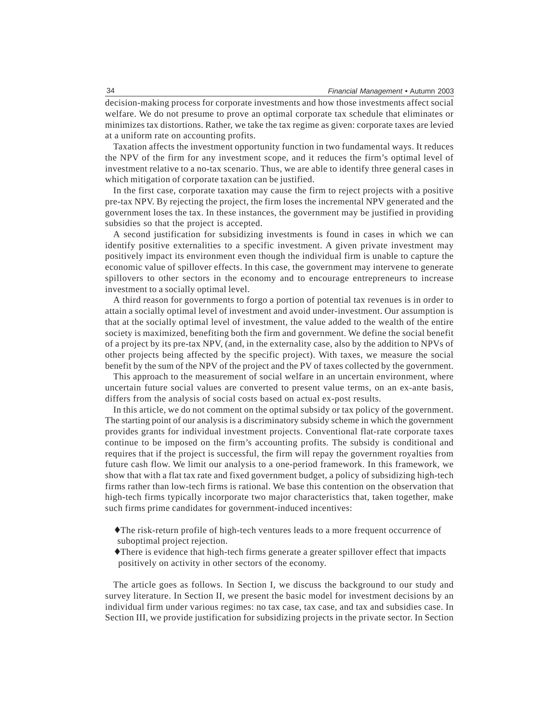decision-making process for corporate investments and how those investments affect social welfare. We do not presume to prove an optimal corporate tax schedule that eliminates or minimizes tax distortions. Rather, we take the tax regime as given: corporate taxes are levied at a uniform rate on accounting profits.

Taxation affects the investment opportunity function in two fundamental ways. It reduces the NPV of the firm for any investment scope, and it reduces the firm's optimal level of investment relative to a no-tax scenario. Thus, we are able to identify three general cases in which mitigation of corporate taxation can be justified.

In the first case, corporate taxation may cause the firm to reject projects with a positive pre-tax NPV. By rejecting the project, the firm loses the incremental NPV generated and the government loses the tax. In these instances, the government may be justified in providing subsidies so that the project is accepted.

A second justification for subsidizing investments is found in cases in which we can identify positive externalities to a specific investment. A given private investment may positively impact its environment even though the individual firm is unable to capture the economic value of spillover effects. In this case, the government may intervene to generate spillovers to other sectors in the economy and to encourage entrepreneurs to increase investment to a socially optimal level.

A third reason for governments to forgo a portion of potential tax revenues is in order to attain a socially optimal level of investment and avoid under-investment. Our assumption is that at the socially optimal level of investment, the value added to the wealth of the entire society is maximized, benefiting both the firm and government. We define the social benefit of a project by its pre-tax NPV, (and, in the externality case, also by the addition to NPVs of other projects being affected by the specific project). With taxes, we measure the social benefit by the sum of the NPV of the project and the PV of taxes collected by the government.

This approach to the measurement of social welfare in an uncertain environment, where uncertain future social values are converted to present value terms, on an ex-ante basis, differs from the analysis of social costs based on actual ex-post results.

In this article, we do not comment on the optimal subsidy or tax policy of the government. The starting point of our analysis is a discriminatory subsidy scheme in which the government provides grants for individual investment projects. Conventional flat-rate corporate taxes continue to be imposed on the firm's accounting profits. The subsidy is conditional and requires that if the project is successful, the firm will repay the government royalties from future cash flow. We limit our analysis to a one-period framework. In this framework, we show that with a flat tax rate and fixed government budget, a policy of subsidizing high-tech firms rather than low-tech firms is rational. We base this contention on the observation that high-tech firms typically incorporate two major characteristics that, taken together, make such firms prime candidates for government-induced incentives:

- ♦The risk-return profile of high-tech ventures leads to a more frequent occurrence of suboptimal project rejection.
- ♦There is evidence that high-tech firms generate a greater spillover effect that impacts positively on activity in other sectors of the economy.

The article goes as follows. In Section I, we discuss the background to our study and survey literature. In Section II, we present the basic model for investment decisions by an individual firm under various regimes: no tax case, tax case, and tax and subsidies case. In Section III, we provide justification for subsidizing projects in the private sector. In Section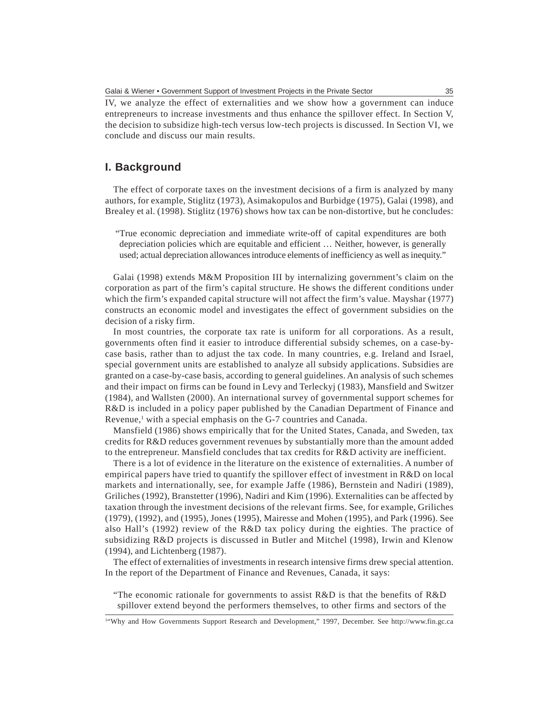IV, we analyze the effect of externalities and we show how a government can induce entrepreneurs to increase investments and thus enhance the spillover effect. In Section V, the decision to subsidize high-tech versus low-tech projects is discussed. In Section VI, we conclude and discuss our main results.

# **I. Background**

The effect of corporate taxes on the investment decisions of a firm is analyzed by many authors, for example, Stiglitz (1973), Asimakopulos and Burbidge (1975), Galai (1998), and Brealey et al. (1998). Stiglitz (1976) shows how tax can be non-distortive, but he concludes:

"True economic depreciation and immediate write-off of capital expenditures are both depreciation policies which are equitable and efficient … Neither, however, is generally used; actual depreciation allowances introduce elements of inefficiency as well as inequity."

Galai (1998) extends M&M Proposition III by internalizing government's claim on the corporation as part of the firm's capital structure. He shows the different conditions under which the firm's expanded capital structure will not affect the firm's value. Mayshar (1977) constructs an economic model and investigates the effect of government subsidies on the decision of a risky firm.

In most countries, the corporate tax rate is uniform for all corporations. As a result, governments often find it easier to introduce differential subsidy schemes, on a case-bycase basis, rather than to adjust the tax code. In many countries, e.g. Ireland and Israel, special government units are established to analyze all subsidy applications. Subsidies are granted on a case-by-case basis, according to general guidelines. An analysis of such schemes and their impact on firms can be found in Levy and Terleckyj (1983), Mansfield and Switzer (1984), and Wallsten (2000). An international survey of governmental support schemes for R&D is included in a policy paper published by the Canadian Department of Finance and Revenue,<sup>1</sup> with a special emphasis on the G-7 countries and Canada.

Mansfield (1986) shows empirically that for the United States, Canada, and Sweden, tax credits for R&D reduces government revenues by substantially more than the amount added to the entrepreneur. Mansfield concludes that tax credits for R&D activity are inefficient.

There is a lot of evidence in the literature on the existence of externalities. A number of empirical papers have tried to quantify the spillover effect of investment in R&D on local markets and internationally, see, for example Jaffe (1986), Bernstein and Nadiri (1989), Griliches (1992), Branstetter (1996), Nadiri and Kim (1996). Externalities can be affected by taxation through the investment decisions of the relevant firms. See, for example, Griliches (1979), (1992), and (1995), Jones (1995), Mairesse and Mohen (1995), and Park (1996). See also Hall's (1992) review of the R&D tax policy during the eighties. The practice of subsidizing R&D projects is discussed in Butler and Mitchel (1998), Irwin and Klenow (1994), and Lichtenberg (1987).

The effect of externalities of investments in research intensive firms drew special attention. In the report of the Department of Finance and Revenues, Canada, it says:

"The economic rationale for governments to assist R&D is that the benefits of R&D spillover extend beyond the performers themselves, to other firms and sectors of the

<sup>1</sup> "Why and How Governments Support Research and Development," 1997, December. See http://www.fin.gc.ca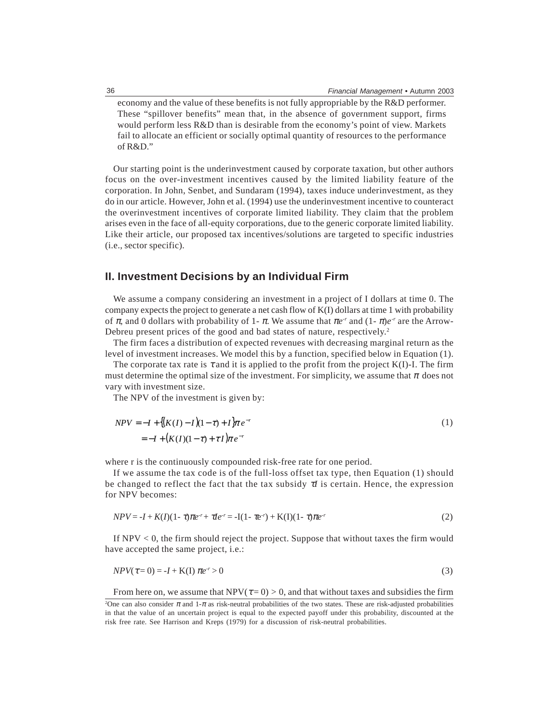economy and the value of these benefits is not fully appropriable by the R&D performer. These "spillover benefits" mean that, in the absence of government support, firms would perform less R&D than is desirable from the economy's point of view. Markets fail to allocate an efficient or socially optimal quantity of resources to the performance of R&D."

Our starting point is the underinvestment caused by corporate taxation, but other authors focus on the over-investment incentives caused by the limited liability feature of the corporation. In John, Senbet, and Sundaram (1994), taxes induce underinvestment, as they do in our article. However, John et al. (1994) use the underinvestment incentive to counteract the overinvestment incentives of corporate limited liability. They claim that the problem arises even in the face of all-equity corporations, due to the generic corporate limited liability. Like their article, our proposed tax incentives/solutions are targeted to specific industries (i.e., sector specific).

## **II. Investment Decisions by an Individual Firm**

We assume a company considering an investment in a project of I dollars at time 0. The company expects the project to generate a net cash flow of K(I) dollars at time 1 with probability of  $\pi$ , and 0 dollars with probability of 1-  $\pi$ . We assume that  $\pi e^{-r}$  and  $(1 - \pi)e^{-r}$  are the Arrow-Debreu present prices of the good and bad states of nature, respectively.<sup>2</sup>

The firm faces a distribution of expected revenues with decreasing marginal return as the level of investment increases. We model this by a function, specified below in Equation (1).

The corporate tax rate is  $\tau$  and it is applied to the profit from the project K(I)-I. The firm must determine the optimal size of the investment. For simplicity, we assume that  $\pi$  does not vary with investment size.

The NPV of the investment is given by:

$$
NPV = -I + \{(K(I) - I)(1 - \tau) + I\}\pi e^{-r}
$$
  
= -I + (K(I)(1 - \tau) + \tau I)\pi e^{-r} (1)

where r is the continuously compounded risk-free rate for one period.

If we assume the tax code is of the full-loss offset tax type, then Equation (1) should be changed to reflect the fact that the tax subsidy τ*I* is certain. Hence, the expression for NPV becomes:

$$
NPV = -I + K(I)(1 - \tau)\pi e^{r} + \tau I e^{r} = -I(1 - \tau e^{r}) + K(I)(1 - \tau)\pi e^{r}
$$
\n(2)

If  $NPV < 0$ , the firm should reject the project. Suppose that without taxes the firm would have accepted the same project, i.e.:

$$
NPV(\tau=0) = -I + K(I)\ \pi e^r > 0\tag{3}
$$

From here on, we assume that  $NPV(\tau=0) > 0$ , and that without taxes and subsidies the firm

<sup>&</sup>lt;sup>2</sup>One can also consider  $\pi$  and 1- $\pi$  as risk-neutral probabilities of the two states. These are risk-adjusted probabilities in that the value of an uncertain project is equal to the expected payoff under this probability, discounted at the risk free rate. See Harrison and Kreps (1979) for a discussion of risk-neutral probabilities.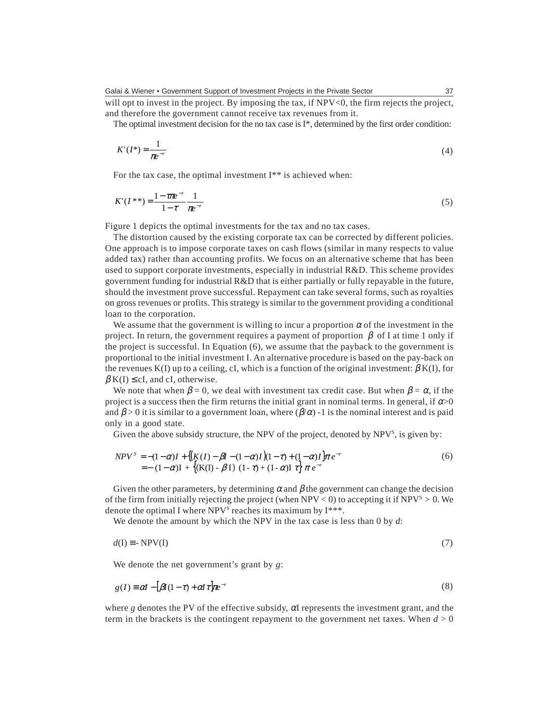Galai & Wiener • Government Support of Investment Projects in the Private Sector

will opt to invest in the project. By imposing the tax, if NPV<0, the firm rejects the project, and therefore the government cannot receive tax revenues from it.

The optimal investment decision for the no tax case is  $I^*$ , determined by the first order condition:

$$
K'(I^*) = \frac{1}{\pi e^{-r}}\tag{4}
$$

For the tax case, the optimal investment I\*\* is achieved when:

$$
K'(I^{**}) = \frac{1 - \tau \pi e^{-r}}{1 - \tau} \frac{1}{\pi e^{-r}}
$$
(5)

Figure 1 depicts the optimal investments for the tax and no tax cases.

The distortion caused by the existing corporate tax can be corrected by different policies. One approach is to impose corporate taxes on cash flows (similar in many respects to value added tax) rather than accounting profits. We focus on an alternative scheme that has been used to support corporate investments, especially in industrial R&D. This scheme provides government funding for industrial R&D that is either partially or fully repayable in the future, should the investment prove successful. Repayment can take several forms, such as royalties on gross revenues or profits. This strategy is similar to the government providing a conditional loan to the corporation.

We assume that the government is willing to incur a proportion  $\alpha$  of the investment in the project. In return, the government requires a payment of proportion  $\beta$  of I at time 1 only if the project is successful. In Equation (6), we assume that the payback to the government is proportional to the initial investment I. An alternative procedure is based on the pay-back on the revenues K(I) up to a ceiling, cI, which is a function of the original investment:  $\beta$  K(I), for  $\beta K(I) \leq cI$ , and cI, otherwise.

We note that when  $\beta = 0$ , we deal with investment tax credit case. But when  $\beta = \alpha$ , if the project is a success then the firm returns the initial grant in nominal terms. In general, if  $\alpha$  >0 and  $\beta > 0$  it is similar to a government loan, where  $(\beta/\alpha)$  -1 is the nominal interest and is paid only in a good state.

Given the above subsidy structure, the NPV of the project, denoted by NPV<sup>s</sup>, is given by:

$$
NPV^{S} = -(1 - \alpha)I + \{(K(I) - \beta I - (1 - \alpha)I)(1 - \tau) + (1 - \alpha)I\} \pi e^{-r}
$$
  
= -(1 - \alpha)I + \{(K(I) - \beta I) (1 - \tau) + (1 - \alpha)I \tau\} \pi e^{-r} (5)

Given the other parameters, by determining  $\alpha$  and  $\beta$  the government can change the decision of the firm from initially rejecting the project (when NPV  $<$  0) to accepting it if NPV<sup>s</sup>  $>$  0. We denote the optimal I where NPV<sup>s</sup> reaches its maximum by  $I^{***}$ .

We denote the amount by which the NPV in the tax case is less than 0 by *d*:

$$
d(I) \equiv -NPV(I) \tag{7}
$$

We denote the net government's grant by *g*:

$$
g(I) \equiv \alpha I - \left[\beta I(1-\tau) + \alpha I \tau\right] \pi e^{-r} \tag{8}
$$

where *g* denotes the PV of the effective subsidy,  $\alpha$ I represents the investment grant, and the term in the brackets is the contingent repayment to the government net taxes. When  $d > 0$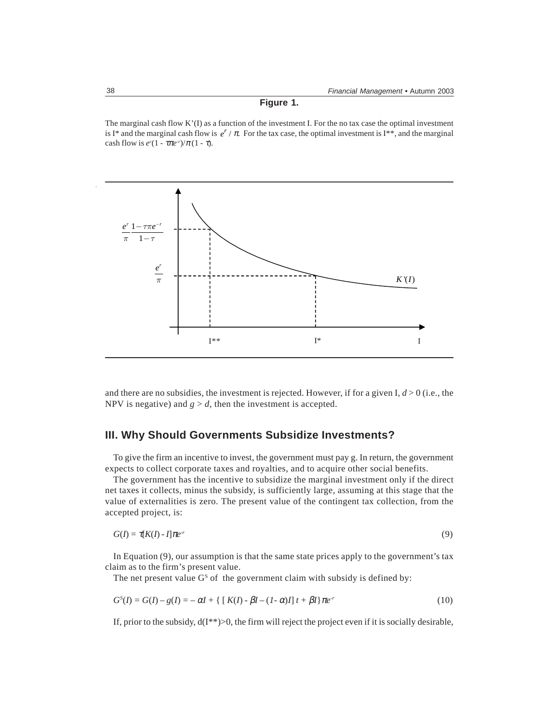### **Figure 1.**

The marginal cash flow K'(I) as a function of the investment I. For the no tax case the optimal investment is I<sup>\*</sup> and the marginal cash flow is  $e^r / \pi$ . For the tax case, the optimal investment is I<sup>\*\*</sup>, and the marginal cash flow is  $e^{r}(1 - \tau \pi e^{-r})/\pi (1 - \tau)$ .



and there are no subsidies, the investment is rejected. However, if for a given I,  $d > 0$  (i.e., the NPV is negative) and  $g > d$ , then the investment is accepted.

# **III. Why Should Governments Subsidize Investments?**

To give the firm an incentive to invest, the government must pay g. In return, the government expects to collect corporate taxes and royalties, and to acquire other social benefits.

The government has the incentive to subsidize the marginal investment only if the direct net taxes it collects, minus the subsidy, is sufficiently large, assuming at this stage that the value of externalities is zero. The present value of the contingent tax collection, from the accepted project, is:

$$
G(I) = \tau[K(I) - I]\pi e^{-r} \tag{9}
$$

In Equation (9), our assumption is that the same state prices apply to the government's tax claim as to the firm's present value.

The net present value  $G<sup>S</sup>$  of the government claim with subsidy is defined by:

$$
G^{S}(I) = G(I) - g(I) = -\alpha I + \{ [K(I) - \beta I - (1 - \alpha)I] t + \beta I \} \pi e^{-r}
$$
(10)

If, prior to the subsidy,  $d(I^{**})>0$ , the firm will reject the project even if it is socially desirable,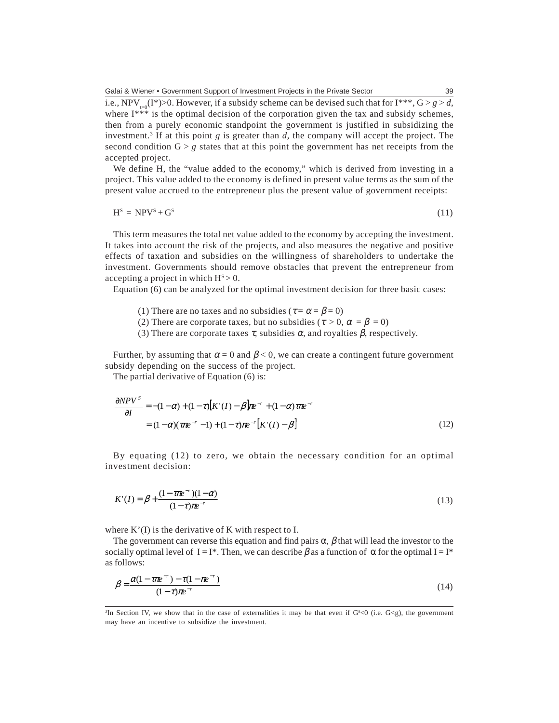i.e., NPV<sub>t=0</sub>(I\*)>0. However, if a subsidy scheme can be devised such that for I\*\*\*,  $G > g > d$ , where I\*\*\* is the optimal decision of the corporation given the tax and subsidy schemes, then from a purely economic standpoint the government is justified in subsidizing the investment.3 If at this point *g* is greater than *d*, the company will accept the project. The second condition  $G > g$  states that at this point the government has net receipts from the accepted project.

We define H, the "value added to the economy," which is derived from investing in a project. This value added to the economy is defined in present value terms as the sum of the present value accrued to the entrepreneur plus the present value of government receipts:

$$
HS = NPVS + GS
$$
 (11)

This term measures the total net value added to the economy by accepting the investment. It takes into account the risk of the projects, and also measures the negative and positive effects of taxation and subsidies on the willingness of shareholders to undertake the investment. Governments should remove obstacles that prevent the entrepreneur from accepting a project in which  $H<sup>S</sup> > 0$ .

Equation (6) can be analyzed for the optimal investment decision for three basic cases:

- (1) There are no taxes and no subsidies ( $\tau = \alpha = \beta = 0$ )
- (2) There are corporate taxes, but no subsidies ( $\tau > 0$ ,  $\alpha = \beta = 0$ )
- (3) There are corporate taxes  $\tau$ , subsidies  $\alpha$ , and royalties  $\beta$ , respectively.

Further, by assuming that  $\alpha = 0$  and  $\beta < 0$ , we can create a contingent future government subsidy depending on the success of the project.

The partial derivative of Equation (6) is:

$$
\frac{\partial NPV^S}{\partial I} = -(1 - \alpha) + (1 - \tau)[K'(I) - \beta]\pi e^{-r} + (1 - \alpha)\tau\pi e^{-r}
$$
  
=  $(1 - \alpha)(\tau\pi e^{-r} - 1) + (1 - \tau)\pi e^{-r}[K'(I) - \beta]$  (12)

By equating (12) to zero, we obtain the necessary condition for an optimal investment decision:

$$
K'(I) = \beta + \frac{(1 - \tau \pi e^{-r})(1 - \alpha)}{(1 - \tau)\pi e^{-r}}
$$
\n(13)

where K'(I) is the derivative of K with respect to I.

The government can reverse this equation and find pairs  $\alpha$ ,  $\beta$  that will lead the investor to the socially optimal level of I = I<sup>\*</sup>. Then, we can describe  $\beta$  as a function of  $\alpha$  for the optimal I = I<sup>\*</sup> as follows:

$$
\beta = \frac{\alpha (1 - \tau \pi e^{-r}) - \tau (1 - \pi e^{-r})}{(1 - \tau) \pi e^{-r}}
$$
\n(14)

<sup>&</sup>lt;sup>3</sup>In Section IV, we show that in the case of externalities it may be that even if  $G<sup>s</sup> < 0$  (i.e.  $G< g$ ), the government may have an incentive to subsidize the investment.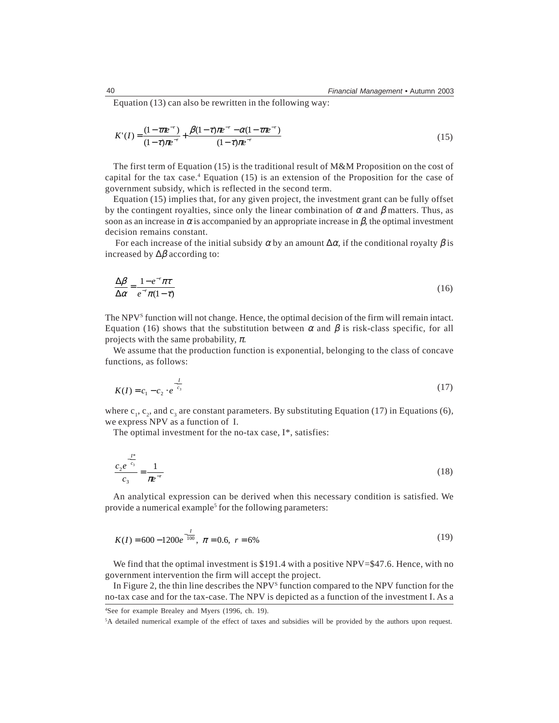Equation (13) can also be rewritten in the following way:

$$
K'(I) = \frac{(1 - \tau \pi e^{-r})}{(1 - \tau)\pi e^{-r}} + \frac{\beta(1 - \tau)\pi e^{-r} - \alpha(1 - \tau \pi e^{-r})}{(1 - \tau)\pi e^{-r}}
$$
(15)

The first term of Equation (15) is the traditional result of M&M Proposition on the cost of capital for the tax case.4 Equation (15) is an extension of the Proposition for the case of government subsidy, which is reflected in the second term.

Equation (15) implies that, for any given project, the investment grant can be fully offset by the contingent royalties, since only the linear combination of  $\alpha$  and  $\beta$  matters. Thus, as soon as an increase in  $\alpha$  is accompanied by an appropriate increase in  $\beta$ , the optimal investment decision remains constant.

For each increase of the initial subsidy  $\alpha$  by an amount  $\Delta \alpha$ , if the conditional royalty  $\beta$  is increased by  $\Delta \beta$  according to:

$$
\frac{\Delta \beta}{\Delta \alpha} = \frac{1 - e^{-r} \pi \tau}{e^{-r} \pi (1 - \tau)}
$$
(16)

The NPV<sup>s</sup> function will not change. Hence, the optimal decision of the firm will remain intact. Equation (16) shows that the substitution between  $\alpha$  and  $\beta$  is risk-class specific, for all projects with the same probability,  $\pi$ .

We assume that the production function is exponential, belonging to the class of concave functions, as follows:

$$
K(I) = c_1 - c_2 \cdot e^{-\frac{I}{c_3}}
$$
\n(17)

where  $c_1, c_2$ , and  $c_3$  are constant parameters. By substituting Equation (17) in Equations (6), we express NPV as a function of I.

The optimal investment for the no-tax case, I\*, satisfies:

$$
\frac{c_2 e^{-\frac{t^*}{c_3}}}{c_3} = \frac{1}{\pi e^{-r}}
$$
 (18)

An analytical expression can be derived when this necessary condition is satisfied. We provide a numerical example<sup>5</sup> for the following parameters:

$$
K(I) = 600 - 1200e^{-\frac{I}{100}}, \ \pi = 0.6, \ r = 6\%
$$
\n(19)

We find that the optimal investment is \$191.4 with a positive NPV=\$47.6. Hence, with no government intervention the firm will accept the project.

In Figure 2, the thin line describes the NPV<sup>S</sup> function compared to the NPV function for the no-tax case and for the tax-case. The NPV is depicted as a function of the investment I. As a

<sup>4</sup> See for example Brealey and Myers (1996, ch. 19).

<sup>5</sup> A detailed numerical example of the effect of taxes and subsidies will be provided by the authors upon request.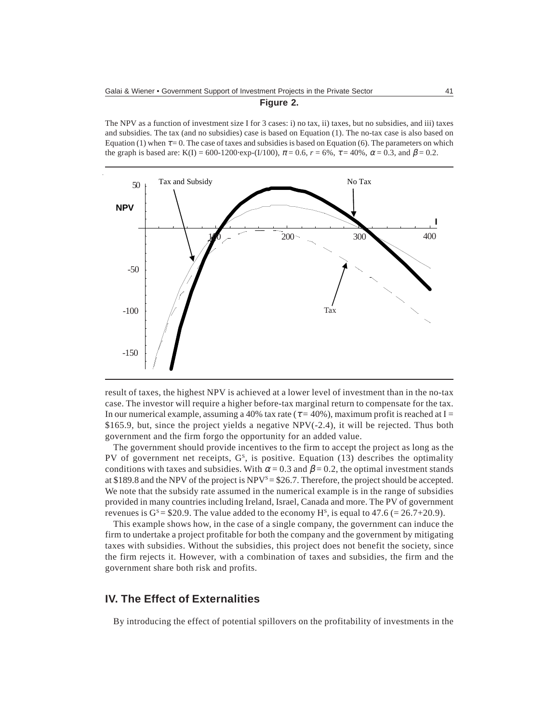#### **Figure 2.**

The NPV as a function of investment size I for 3 cases: i) no tax, ii) taxes, but no subsidies, and iii) taxes and subsidies. The tax (and no subsidies) case is based on Equation (1). The no-tax case is also based on Equation (1) when  $\tau = 0$ . The case of taxes and subsidies is based on Equation (6). The parameters on which the graph is based are: K(I) = 600-1200⋅exp-(I/100),  $\pi$  = 0.6,  $r$  = 6%,  $\tau$  = 40%,  $\alpha$  = 0.3, and  $\beta$  = 0.2.



result of taxes, the highest NPV is achieved at a lower level of investment than in the no-tax case. The investor will require a higher before-tax marginal return to compensate for the tax. In our numerical example, assuming a 40% tax rate ( $\tau$  = 40%), maximum profit is reached at I = \$165.9, but, since the project yields a negative NPV(-2.4), it will be rejected. Thus both government and the firm forgo the opportunity for an added value.

The government should provide incentives to the firm to accept the project as long as the PV of government net receipts,  $G<sup>S</sup>$ , is positive. Equation (13) describes the optimality conditions with taxes and subsidies. With  $\alpha$  = 0.3 and  $\beta$  = 0.2, the optimal investment stands at \$189.8 and the NPV of the project is  $NPV^s = $26.7$ . Therefore, the project should be accepted. We note that the subsidy rate assumed in the numerical example is in the range of subsidies provided in many countries including Ireland, Israel, Canada and more. The PV of government revenues is  $G^s = $20.9$ . The value added to the economy  $H^s$ , is equal to 47.6 (= 26.7+20.9).

This example shows how, in the case of a single company, the government can induce the firm to undertake a project profitable for both the company and the government by mitigating taxes with subsidies. Without the subsidies, this project does not benefit the society, since the firm rejects it. However, with a combination of taxes and subsidies, the firm and the government share both risk and profits.

# **IV. The Effect of Externalities**

By introducing the effect of potential spillovers on the profitability of investments in the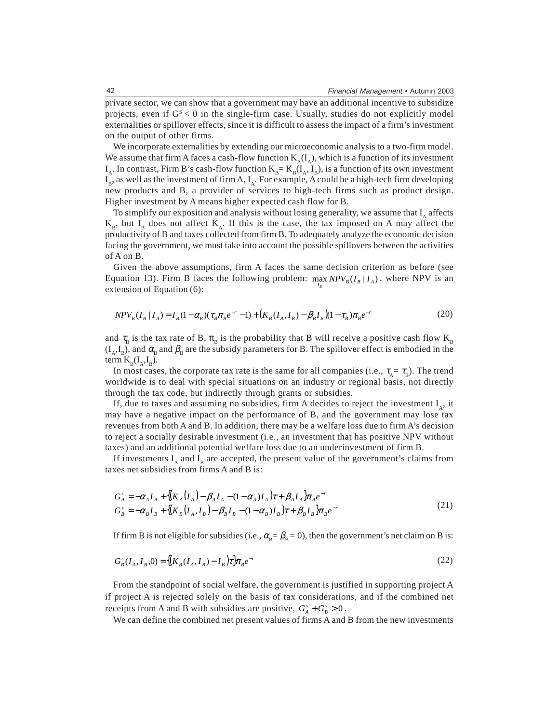private sector, we can show that a government may have an additional incentive to subsidize projects, even if  $G<sub>s</sub> < 0$  in the single-firm case. Usually, studies do not explicitly model externalities or spillover effects, since it is difficult to assess the impact of a firm's investment on the output of other firms.

We incorporate externalities by extending our microeconomic analysis to a two-firm model. We assume that firm A faces a cash-flow function  $K_\lambda(I_\lambda)$ , which is a function of its investment  $I_A$ . In contrast, Firm B's cash-flow function  $K_B = K_B(I_A, I_B)$ , is a function of its own investment  $I_B$ , as well as the investment of firm A,  $I_A$ . For example, A could be a high-tech firm developing new products and B, a provider of services to high-tech firms such as product design. Higher investment by A means higher expected cash flow for B.

To simplify our exposition and analysis without losing generality, we assume that  $I_A$  affects  $K_{B}$ , but  $I_{B}$  does not affect  $K_{A}$ . If this is the case, the tax imposed on A may affect the productivity of B and taxes collected from firm B. To adequately analyze the economic decision facing the government, we must take into account the possible spillovers between the activities of A on B.

Given the above assumptions, firm A faces the same decision criterion as before (see Equation 13). Firm B faces the following problem:  $\max_{I_R} NPV_B(I_B | I_A)$ , where NPV is an *B* extension of Equation (6):

$$
NPV_B(I_B | I_A) = I_B(1 - \alpha_B)(\tau_B \pi_B e^{-r} - 1) + (K_B(I_A, I_B) - \beta_B I_B)(1 - \tau_B) \pi_B e^{-r}
$$
\n(20)

and  $\tau_B$  is the tax rate of B,  $\pi_B$  is the probability that B will receive a positive cash flow K<sub>B</sub>  $(I_A, I_B)$ , and  $\alpha_B$  and  $\beta_B$  are the subsidy parameters for B. The spillover effect is embodied in the term  $K_{\rm B}(I_{\rm A},I_{\rm B}).$ 

In most cases, the corporate tax rate is the same for all companies (i.e.,  $\tau_A = \tau_B$ ). The trend worldwide is to deal with special situations on an industry or regional basis, not directly through the tax code, but indirectly through grants or subsidies.

If, due to taxes and assuming no subsidies, firm A decides to reject the investment  $I_{\alpha}$ , it may have a negative impact on the performance of B, and the government may lose tax revenues from both A and B. In addition, there may be a welfare loss due to firm A's decision to reject a socially desirable investment (i.e., an investment that has positive NPV without taxes) and an additional potential welfare loss due to an underinvestment of firm B.

If investments  $I_A$  and  $I_B$  are accepted, the present value of the government's claims from taxes net subsidies from firms A and B is:

$$
G_A^s = -\alpha_A I_A + \left\{ \left( K_A (I_A) - \beta_A I_A - (1 - \alpha_A) I_A \right) \tau + \beta_A I_A \right\} \pi_A e^{-r}
$$
  
\n
$$
G_B^s = -\alpha_B I_B + \left\{ \left( K_B (I_A, I_B) - \beta_B I_B - (1 - \alpha_B) I_B \right) \tau + \beta_B I_B \right\} \pi_B e^{-r}
$$
\n(21)

If firm B is not eligible for subsidies (i.e.,  $\alpha_{\rm B} = \beta_{\rm B} = 0$ ), then the government's net claim on B is:

$$
G_B^s(I_A, I_B, 0) = \left\{ (K_B(I_A, I_B) - I_B) \tau \right\} \pi_B e^{-r}
$$
\n(22)

From the standpoint of social welfare, the government is justified in supporting project A if project A is rejected solely on the basis of tax considerations, and if the combined net receipts from A and B with subsidies are positive,  $G_A^s + G_B^s > 0$ .

We can define the combined net present values of firms A and B from the new investments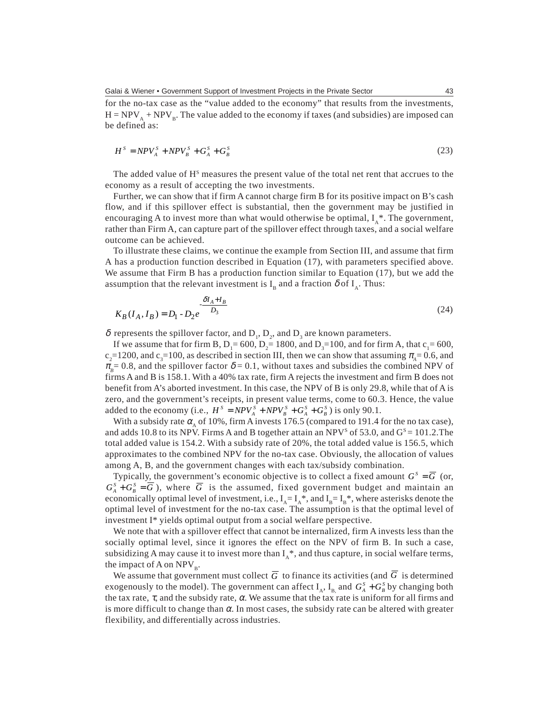for the no-tax case as the "value added to the economy" that results from the investments,  $H = NPV<sub>A</sub> + NPV<sub>B</sub>$ . The value added to the economy if taxes (and subsidies) are imposed can be defined as:

$$
HS = NPVAS + NPVBS + GAS + GBS
$$
 (23)

The added value of H<sup>s</sup> measures the present value of the total net rent that accrues to the economy as a result of accepting the two investments.

Further, we can show that if firm A cannot charge firm B for its positive impact on B's cash flow, and if this spillover effect is substantial, then the government may be justified in encouraging A to invest more than what would otherwise be optimal,  $I_{\lambda}^*$ . The government, rather than Firm A, can capture part of the spillover effect through taxes, and a social welfare outcome can be achieved.

To illustrate these claims, we continue the example from Section III, and assume that firm A has a production function described in Equation (17), with parameters specified above. We assume that Firm B has a production function similar to Equation (17), but we add the assumption that the relevant investment is  $I_{\rm B}$  and a fraction  $\delta$  of  $I_{\rm A}$ . Thus:

$$
K_B(I_A, I_B) = D_1 - D_2 e^{-\frac{\delta I_A + I_B}{D_3}}
$$
\n(24)

 $\delta$  represents the spillover factor, and  $D_1$ ,  $D_2$ , and  $D_3$  are known parameters.

If we assume that for firm B,  $D_1 = 600$ ,  $D_2 = 1800$ , and  $D_3 = 100$ , and for firm A, that  $c_1 = 600$ ,  $c_2$ =1200, and  $c_3$ =100, as described in section III, then we can show that assuming  $\pi_A$ =0.6, and  $\pi_{\overline{B}} = 0.8$ , and the spillover factor  $\delta = 0.1$ , without taxes and subsidies the combined NPV of firms A and B is 158.1. With a 40% tax rate, firm A rejects the investment and firm B does not benefit from A's aborted investment. In this case, the NPV of B is only 29.8, while that of A is zero, and the government's receipts, in present value terms, come to 60.3. Hence, the value added to the economy (i.e.,  $H^S = NPV_A^S + NPV_B^S + G_A^S + G_B^S$ ) is only 90.1.

With a subsidy rate  $\alpha_{\mu}$  of 10%, firm A invests 176.5 (compared to 191.4 for the no tax case), and adds 10.8 to its NPV. Firms A and B together attain an NPV<sup>s</sup> of 53.0, and  $G<sup>S</sup> = 101.2$ . The total added value is 154.2. With a subsidy rate of 20%, the total added value is 156.5, which approximates to the combined NPV for the no-tax case. Obviously, the allocation of values among A, B, and the government changes with each tax/subsidy combination.

Typically, the government's economic objective is to collect a fixed amount  $G<sup>S</sup> = \overline{G}$  (or,  $G_A^S + G_B^S = \overline{G}$ ), where  $\overline{G}$  is the assumed, fixed government budget and maintain an economically optimal level of investment, i.e.,  $I_A = I_A^*$ , and  $I_B = I_B^*$ , where asterisks denote the optimal level of investment for the no-tax case. The assumption is that the optimal level of investment I\* yields optimal output from a social welfare perspective.

We note that with a spillover effect that cannot be internalized, firm A invests less than the socially optimal level, since it ignores the effect on the NPV of firm B. In such a case, subsidizing A may cause it to invest more than  $I_A^*$ , and thus capture, in social welfare terms, the impact of A on  $NPV_B$ .

We assume that government must collect  $\overline{G}$  to finance its activities (and  $\overline{G}$  is determined exogenously to the model). The government can affect  $I_A$ ,  $I_B$  and  $G_A^S + G_B^S$  by changing both the tax rate,  $\tau$ , and the subsidy rate,  $\alpha$ . We assume that the tax rate is uniform for all firms and is more difficult to change than  $\alpha$ . In most cases, the subsidy rate can be altered with greater flexibility, and differentially across industries.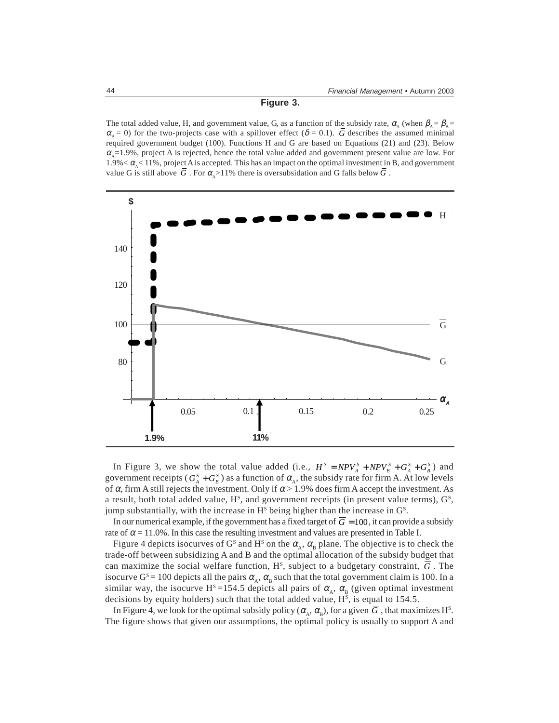#### **Figure 3.**

The total added value, H, and government value, G, as a function of the subsidy rate,  $\alpha_A$  (when  $\beta_A = \beta_B =$  $\alpha_{\rm B} = 0$ ) for the two-projects case with a spillover effect ( $\delta = 0.1$ ). *G* describes the assumed minimal required government budget (100). Functions H and G are based on Equations (21) and (23). Below  $\alpha_{\rm s}$ =1.9%, project A is rejected, hence the total value added and government present value are low. For  $1.9\% < \alpha_{s} < 11\%$ , project A is accepted. This has an impact on the optimal investment in B, and government value G is still above G. For  $\alpha_{\lambda} > 11\%$  there is oversubsidation and G falls below G.



In Figure 3, we show the total value added (i.e.,  $H^S = NPV_A^S + NPV_B^S + G_A^S + G_B^S$ ) and government receipts ( $G_A^s + G_B^s$ ) as a function of  $\alpha_A$ , the subsidy rate for firm A. At low levels of  $\alpha$ , firm A still rejects the investment. Only if  $\alpha > 1.9\%$  does firm A accept the investment. As a result, both total added value,  $H<sup>s</sup>$ , and government receipts (in present value terms),  $G<sup>s</sup>$ , jump substantially, with the increase in  $H<sup>s</sup>$  being higher than the increase in  $G<sup>s</sup>$ .

In our numerical example, if the government has a fixed target of  $\overline{G} = 100$ , it can provide a subsidy rate of  $\alpha$  = 11.0%. In this case the resulting investment and values are presented in Table I.

Figure 4 depicts isocurves of G<sup>s</sup> and H<sup>s</sup> on the  $\alpha_A$ ,  $\alpha_B$  plane. The objective is to check the trade-off between subsidizing A and B and the optimal allocation of the subsidy budget that can maximize the social welfare function,  $H^s$ , subject to a budgetary constraint,  $\overline{G}$ . The isocurve G<sup>s</sup> = 100 depicts all the pairs  $\alpha_{\alpha}$ ,  $\alpha_{\beta}$  such that the total government claim is 100. In a similar way, the isocurve H<sup>s</sup> =154.5 depicts all pairs of  $\alpha_{\text{A}}$ ,  $\alpha_{\text{B}}$  (given optimal investment decisions by equity holders) such that the total added value,  $H<sup>s</sup>$ , is equal to 154.5.

In Figure 4, we look for the optimal subsidy policy ( $\alpha_{A}$ ,  $\alpha_{B}$ ), for a given  $\overline{G}$  , that maximizes H<sup>s</sup>. The figure shows that given our assumptions, the optimal policy is usually to support A and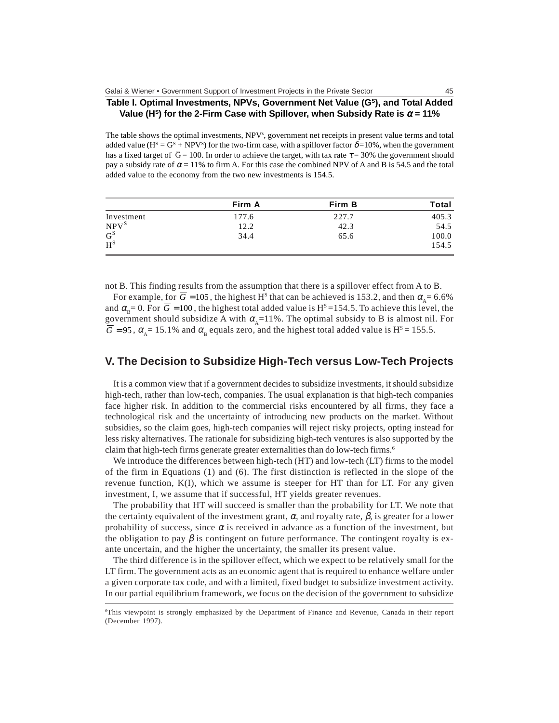#### **Table I. Optimal Investments, NPVs, Government Net Value (GS), and Total Added Value (H<sup>s</sup>) for the 2-Firm Case with Spillover, when Subsidy Rate is**  $\alpha$  **= 11%**

The table shows the optimal investments, NPV<sup>s</sup>, government net receipts in present value terms and total added value ( $H^s = G^s + NPV^s$ ) for the two-firm case, with a spillover factor  $\delta = 10\%$ , when the government has a fixed target of  $\overline{G} = 100$ . In order to achieve the target, with tax rate  $\tau = 30\%$  the government should pay a subsidy rate of  $\alpha = 11\%$  to firm A. For this case the combined NPV of A and B is 54.5 and the total added value to the economy from the two new investments is 154.5.

|            | Firm A | Firm B | Total |
|------------|--------|--------|-------|
| Investment | 177.6  | 227.7  | 405.3 |
| $NPV^S$    | 12.2   | 42.3   | 54.5  |
| $G^S$      | 34.4   | 65.6   | 100.0 |
| $H^S$      |        |        | 154.5 |

not B. This finding results from the assumption that there is a spillover effect from A to B.

For example, for  $\overline{G}$  = 105, the highest H<sup>s</sup> that can be achieved is 153.2, and then  $\alpha_s$  = 6.6% and  $\alpha_{\rm e}$ = 0. For  $\overline{G}$  = 100, the highest total added value is H<sup>s</sup> = 154.5. To achieve this level, the government should subsidize A with  $\alpha_{\rm a}$ =11%. The optimal subsidy to B is almost nil. For  $\overline{G}$  = 95,  $\alpha_{\overline{A}}$  = 15.1% and  $\alpha_{\overline{B}}$  equals zero, and the highest total added value is H<sup>s</sup> = 155.5.

### **V. The Decision to Subsidize High-Tech versus Low-Tech Projects**

It is a common view that if a government decides to subsidize investments, it should subsidize high-tech, rather than low-tech, companies. The usual explanation is that high-tech companies face higher risk. In addition to the commercial risks encountered by all firms, they face a technological risk and the uncertainty of introducing new products on the market. Without subsidies, so the claim goes, high-tech companies will reject risky projects, opting instead for less risky alternatives. The rationale for subsidizing high-tech ventures is also supported by the claim that high-tech firms generate greater externalities than do low-tech firms.<sup>6</sup>

We introduce the differences between high-tech (HT) and low-tech (LT) firms to the model of the firm in Equations (1) and (6). The first distinction is reflected in the slope of the revenue function, K(I), which we assume is steeper for HT than for LT. For any given investment, I, we assume that if successful, HT yields greater revenues.

The probability that HT will succeed is smaller than the probability for LT. We note that the certainty equivalent of the investment grant,  $\alpha$ , and royalty rate,  $\beta$ , is greater for a lower probability of success, since  $\alpha$  is received in advance as a function of the investment, but the obligation to pay  $\beta$  is contingent on future performance. The contingent royalty is exante uncertain, and the higher the uncertainty, the smaller its present value.

The third difference is in the spillover effect, which we expect to be relatively small for the LT firm. The government acts as an economic agent that is required to enhance welfare under a given corporate tax code, and with a limited, fixed budget to subsidize investment activity. In our partial equilibrium framework, we focus on the decision of the government to subsidize

<sup>6</sup> This viewpoint is strongly emphasized by the Department of Finance and Revenue, Canada in their report (December 1997).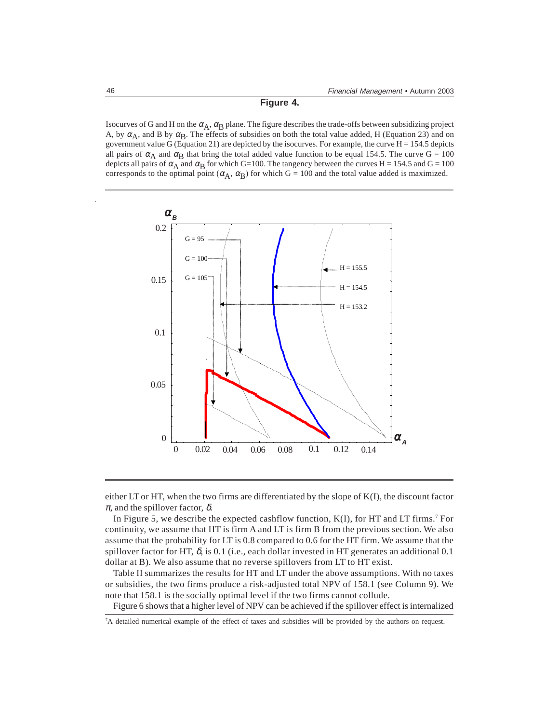**Figure 4.**

Isocurves of G and H on the  $\alpha_A$ ,  $\alpha_B$  plane. The figure describes the trade-offs between subsidizing project A, by  $\alpha_A$ , and B by  $\alpha_B$ . The effects of subsidies on both the total value added, H (Equation 23) and on government value G (Equation 21) are depicted by the isocurves. For example, the curve  $H = 154.5$  depicts all pairs of  $\alpha_A$  and  $\alpha_B$  that bring the total added value function to be equal 154.5. The curve G = 100 depicts all pairs of  $\alpha_A$  and  $\alpha_B$  for which G=100. The tangency between the curves H = 154.5 and G = 100 corresponds to the optimal point  $(\alpha_A, \alpha_B)$  for which G = 100 and the total value added is maximized.



either LT or HT, when the two firms are differentiated by the slope of K(I), the discount factor  $\pi$ , and the spillover factor,  $\delta$ .

In Figure 5, we describe the expected cashflow function,  $K(I)$ , for HT and LT firms.<sup>7</sup> For continuity, we assume that HT is firm A and LT is firm B from the previous section. We also assume that the probability for LT is 0.8 compared to 0.6 for the HT firm. We assume that the spillover factor for HT,  $\delta$ , is 0.1 (i.e., each dollar invested in HT generates an additional 0.1 dollar at B). We also assume that no reverse spillovers from LT to HT exist.

Table II summarizes the results for HT and LT under the above assumptions. With no taxes or subsidies, the two firms produce a risk-adjusted total NPV of 158.1 (see Column 9). We note that 158.1 is the socially optimal level if the two firms cannot collude.

Figure 6 shows that a higher level of NPV can be achieved if the spillover effect is internalized

<sup>7</sup> A detailed numerical example of the effect of taxes and subsidies will be provided by the authors on request.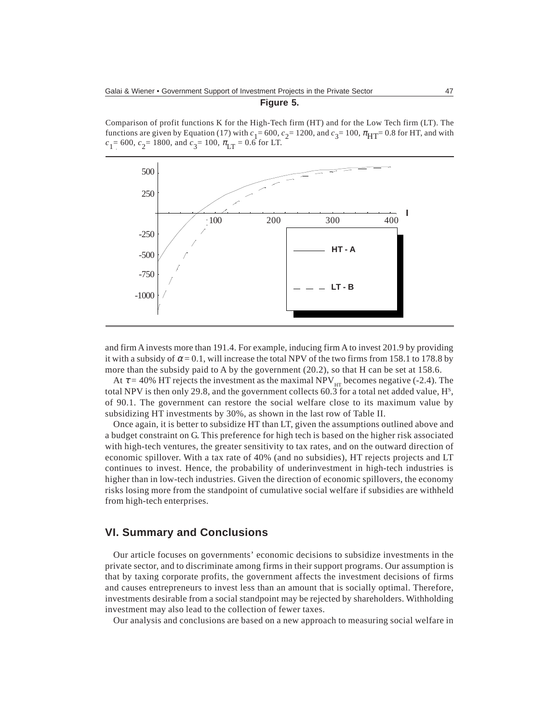**Figure 5.**

Comparison of profit functions K for the High-Tech firm (HT) and for the Low Tech firm (LT). The functions are given by Equation (17) with  $c_1 = 600$ ,  $c_2 = 1200$ , and  $c_3 = 100$ ,  $\pi_{\text{HT}} = 0.8$  for HT, and with  $c_1$ = 600,  $c_2$ = 1800, and  $c_3$ = 100,  $\pi$ <sub>LT</sub> = 0.6 for LT.



and firm A invests more than 191.4. For example, inducing firm A to invest 201.9 by providing it with a subsidy of  $\alpha = 0.1$ , will increase the total NPV of the two firms from 158.1 to 178.8 by more than the subsidy paid to A by the government (20.2), so that H can be set at 158.6.

At  $\tau$  = 40% HT rejects the investment as the maximal NPV<sub>HT</sub> becomes negative (-2.4). The total NPV is then only 29.8, and the government collects 60.3 for a total net added value,  $H^s$ , of 90.1. The government can restore the social welfare close to its maximum value by subsidizing HT investments by 30%, as shown in the last row of Table II.

Once again, it is better to subsidize HT than LT, given the assumptions outlined above and a budget constraint on G. This preference for high tech is based on the higher risk associated with high-tech ventures, the greater sensitivity to tax rates, and on the outward direction of economic spillover. With a tax rate of 40% (and no subsidies), HT rejects projects and LT continues to invest. Hence, the probability of underinvestment in high-tech industries is higher than in low-tech industries. Given the direction of economic spillovers, the economy risks losing more from the standpoint of cumulative social welfare if subsidies are withheld from high-tech enterprises.

# **VI. Summary and Conclusions**

Our article focuses on governments' economic decisions to subsidize investments in the private sector, and to discriminate among firms in their support programs. Our assumption is that by taxing corporate profits, the government affects the investment decisions of firms and causes entrepreneurs to invest less than an amount that is socially optimal. Therefore, investments desirable from a social standpoint may be rejected by shareholders. Withholding investment may also lead to the collection of fewer taxes.

Our analysis and conclusions are based on a new approach to measuring social welfare in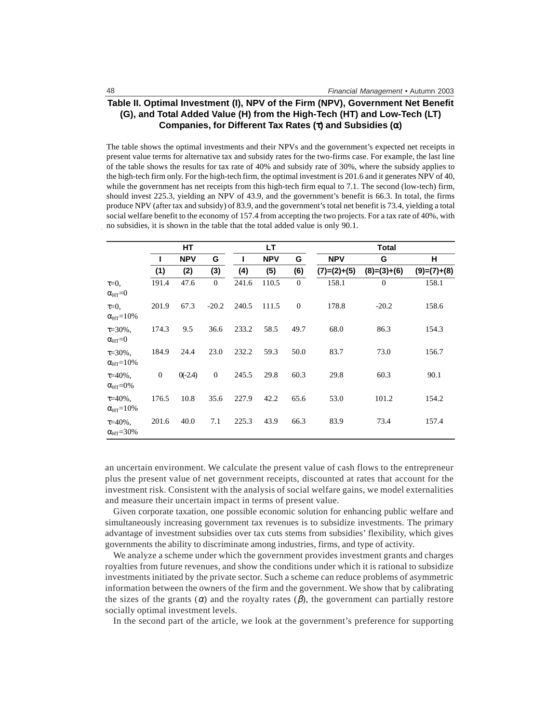#### **Table II. Optimal Investment (I), NPV of the Firm (NPV), Government Net Benefit (G), and Total Added Value (H) from the High-Tech (HT) and Low-Tech (LT) Companies, for Different Tax Rates (**τ**) and Subsidies (**α**)**

The table shows the optimal investments and their NPVs and the government's expected net receipts in present value terms for alternative tax and subsidy rates for the two-firms case. For example, the last line of the table shows the results for tax rate of 40% and subsidy rate of 30%, where the subsidy applies to the high-tech firm only. For the high-tech firm, the optimal investment is 201.6 and it generates NPV of 40, while the government has net receipts from this high-tech firm equal to 7.1. The second (low-tech) firm, should invest 225.3, yielding an NPV of 43.9, and the government's benefit is 66.3. In total, the firms produce NPV (after tax and subsidy) of 83.9, and the government's total net benefit is 73.4, yielding a total social welfare benefit to the economy of 157.4 from accepting the two projects. For a tax rate of 40%, with no subsidies, it is shown in the table that the total added value is only 90.1.

|                                         | HТ           |            |              | LТ    |            |                | <b>Total</b>  |                |               |
|-----------------------------------------|--------------|------------|--------------|-------|------------|----------------|---------------|----------------|---------------|
|                                         |              | <b>NPV</b> | G            |       | <b>NPV</b> | G              | <b>NPV</b>    | G              | н             |
|                                         | (1)          | (2)        | (3)          | (4)   | (5)        | (6)            | $(7)=(2)+(5)$ | $(8)=(3)+(6)$  | $(9)=(7)+(8)$ |
| $\tau = 0$ ,<br>$\alpha_{HT} = 0$       | 191.4        | 47.6       | $\mathbf{0}$ | 241.6 | 110.5      | $\theta$       | 158.1         | $\overline{0}$ | 158.1         |
| $\tau = 0$ ,<br>$\alpha_{HT} = 10\%$    | 201.9        | 67.3       | $-20.2$      | 240.5 | 111.5      | $\overline{0}$ | 178.8         | $-20.2$        | 158.6         |
| $\tau = 30\%$ .<br>$\alpha_{HT} = 0$    | 174.3        | 9.5        | 36.6         | 233.2 | 58.5       | 49.7           | 68.0          | 86.3           | 154.3         |
| $\tau = 30\%$ .<br>$\alpha_{HT} = 10\%$ | 184.9        | 24.4       | 23.0         | 232.2 | 59.3       | 50.0           | 83.7          | 73.0           | 156.7         |
| $\tau = 40\%$ .<br>$\alpha_{HT} = 0\%$  | $\mathbf{0}$ | $0(-2.4)$  | $\mathbf{0}$ | 245.5 | 29.8       | 60.3           | 29.8          | 60.3           | 90.1          |
| $\tau = 40\%$ .<br>$\alpha_{HT} = 10\%$ | 176.5        | 10.8       | 35.6         | 227.9 | 42.2       | 65.6           | 53.0          | 101.2          | 154.2         |
| $\tau = 40\%$ .<br>$\alpha_{HT} = 30\%$ | 201.6        | 40.0       | 7.1          | 225.3 | 43.9       | 66.3           | 83.9          | 73.4           | 157.4         |

an uncertain environment. We calculate the present value of cash flows to the entrepreneur plus the present value of net government receipts, discounted at rates that account for the investment risk. Consistent with the analysis of social welfare gains, we model externalities and measure their uncertain impact in terms of present value.

Given corporate taxation, one possible economic solution for enhancing public welfare and simultaneously increasing government tax revenues is to subsidize investments. The primary advantage of investment subsidies over tax cuts stems from subsidies' flexibility, which gives governments the ability to discriminate among industries, firms, and type of activity.

We analyze a scheme under which the government provides investment grants and charges royalties from future revenues, and show the conditions under which it is rational to subsidize investments initiated by the private sector. Such a scheme can reduce problems of asymmetric information between the owners of the firm and the government. We show that by calibrating the sizes of the grants  $(\alpha)$  and the royalty rates  $(\beta)$ , the government can partially restore socially optimal investment levels.

In the second part of the article, we look at the government's preference for supporting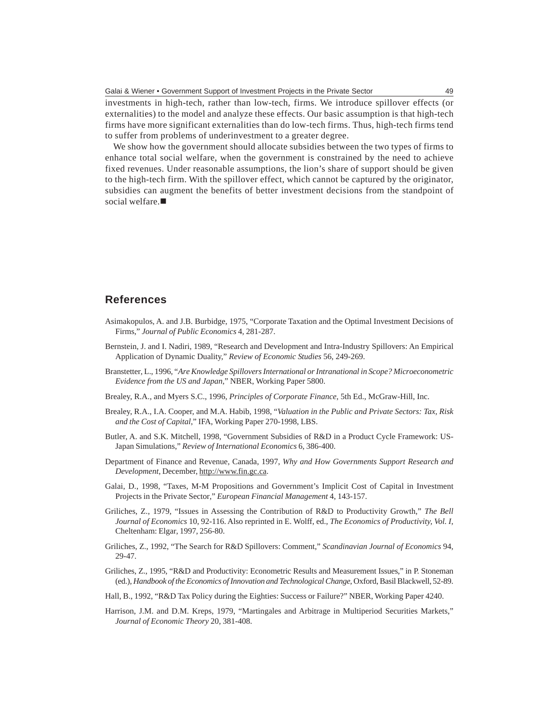investments in high-tech, rather than low-tech, firms. We introduce spillover effects (or externalities) to the model and analyze these effects. Our basic assumption is that high-tech firms have more significant externalities than do low-tech firms. Thus, high-tech firms tend to suffer from problems of underinvestment to a greater degree.

We show how the government should allocate subsidies between the two types of firms to enhance total social welfare, when the government is constrained by the need to achieve fixed revenues. Under reasonable assumptions, the lion's share of support should be given to the high-tech firm. With the spillover effect, which cannot be captured by the originator, subsidies can augment the benefits of better investment decisions from the standpoint of social welfare.

## **References**

- Asimakopulos, A. and J.B. Burbidge, 1975, "Corporate Taxation and the Optimal Investment Decisions of Firms," *Journal of Public Economics* 4, 281-287.
- Bernstein, J. and I. Nadiri, 1989, "Research and Development and Intra-Industry Spillovers: An Empirical Application of Dynamic Duality," *Review of Economic Studies* 56, 249-269.
- Branstetter, L., 1996, "*Are Knowledge Spillovers International or Intranational in Scope? Microeconometric Evidence from the US and Japan*," NBER, Working Paper 5800.
- Brealey, R.A., and Myers S.C., 1996, *Principles of Corporate Finance*, 5th Ed., McGraw-Hill, Inc.
- Brealey, R.A., I.A. Cooper, and M.A. Habib, 1998, "*Valuation in the Public and Private Sectors: Tax, Risk and the Cost of Capital*," IFA, Working Paper 270-1998, LBS.
- Butler, A. and S.K. Mitchell, 1998, "Government Subsidies of R&D in a Product Cycle Framework: US-Japan Simulations," *Review of International Economics* 6, 386-400.
- Department of Finance and Revenue, Canada, 1997, *Why and How Governments Support Research and Development*, December, http://www.fin.gc.ca.
- Galai, D., 1998, "Taxes, M-M Propositions and Government's Implicit Cost of Capital in Investment Projects in the Private Sector," *European Financial Management* 4, 143-157.
- Griliches, Z., 1979, "Issues in Assessing the Contribution of R&D to Productivity Growth," *The Bell Journal of Economics* 10, 92-116. Also reprinted in E. Wolff, ed., *The Economics of Productivity, Vol. I*, Cheltenham: Elgar, 1997, 256-80.
- Griliches, Z., 1992, "The Search for R&D Spillovers: Comment," *Scandinavian Journal of Economics* 94, 29-47.
- Griliches, Z., 1995, "R&D and Productivity: Econometric Results and Measurement Issues," in P. Stoneman (ed.), *Handbook of the Economics of Innovation and Technological Change*, Oxford, Basil Blackwell, 52-89.
- Hall, B., 1992, "R&D Tax Policy during the Eighties: Success or Failure?" NBER, Working Paper 4240.
- Harrison, J.M. and D.M. Kreps, 1979, "Martingales and Arbitrage in Multiperiod Securities Markets," *Journal of Economic Theory* 20, 381-408.